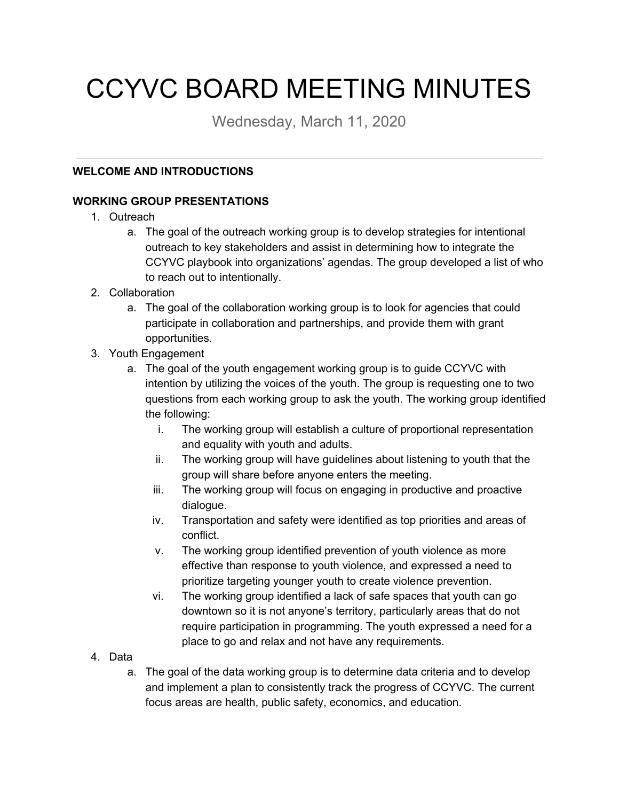# CCYVC BOARD MEETING MINUTES

Wednesday, March 11, 2020

# **WELCOME AND INTRODUCTIONS**

# **WORKING GROUP PRESENTATIONS**

- 1. Outreach
	- a. The goal of the outreach working group is to develop strategies for intentional outreach to key stakeholders and assist in determining how to integrate the CCYVC playbook into organizations' agendas. The group developed a list of who to reach out to intentionally.
- 2. Collaboration
	- a. The goal of the collaboration working group is to look for agencies that could participate in collaboration and partnerships, and provide them with grant opportunities.
- 3. Youth Engagement
	- a. The goal of the youth engagement working group is to guide CCYVC with intention by utilizing the voices of the youth. The group is requesting one to two questions from each working group to ask the youth. The working group identified the following:
		- i. The working group will establish a culture of proportional representation and equality with youth and adults.
		- ii. The working group will have guidelines about listening to youth that the group will share before anyone enters the meeting.
		- iii. The working group will focus on engaging in productive and proactive dialogue.
		- iv. Transportation and safety were identified as top priorities and areas of conflict.
		- v. The working group identified prevention of youth violence as more effective than response to youth violence, and expressed a need to prioritize targeting younger youth to create violence prevention.
		- vi. The working group identified a lack of safe spaces that youth can go downtown so it is not anyone's territory, particularly areas that do not require participation in programming. The youth expressed a need for a place to go and relax and not have any requirements.
- 4. Data
	- a. The goal of the data working group is to determine data criteria and to develop and implement a plan to consistently track the progress of CCYVC. The current focus areas are health, public safety, economics, and education.